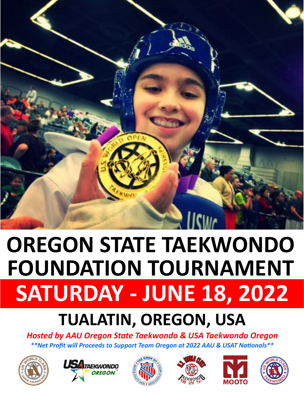

## **SATURDAY - JUNE 18, 2022 OREGON STATE TAEKWONDO FOUNDATION TOURNAMENT**

## **TUALATIN, OREGON, USA**

*Hosted by AAU Oregon State Taekwondo & USA Taekwondo Oregon \*\*Net Profit will Proceeds to Support Team Oregon at 2022 AAU & USAT Nationals\*\**